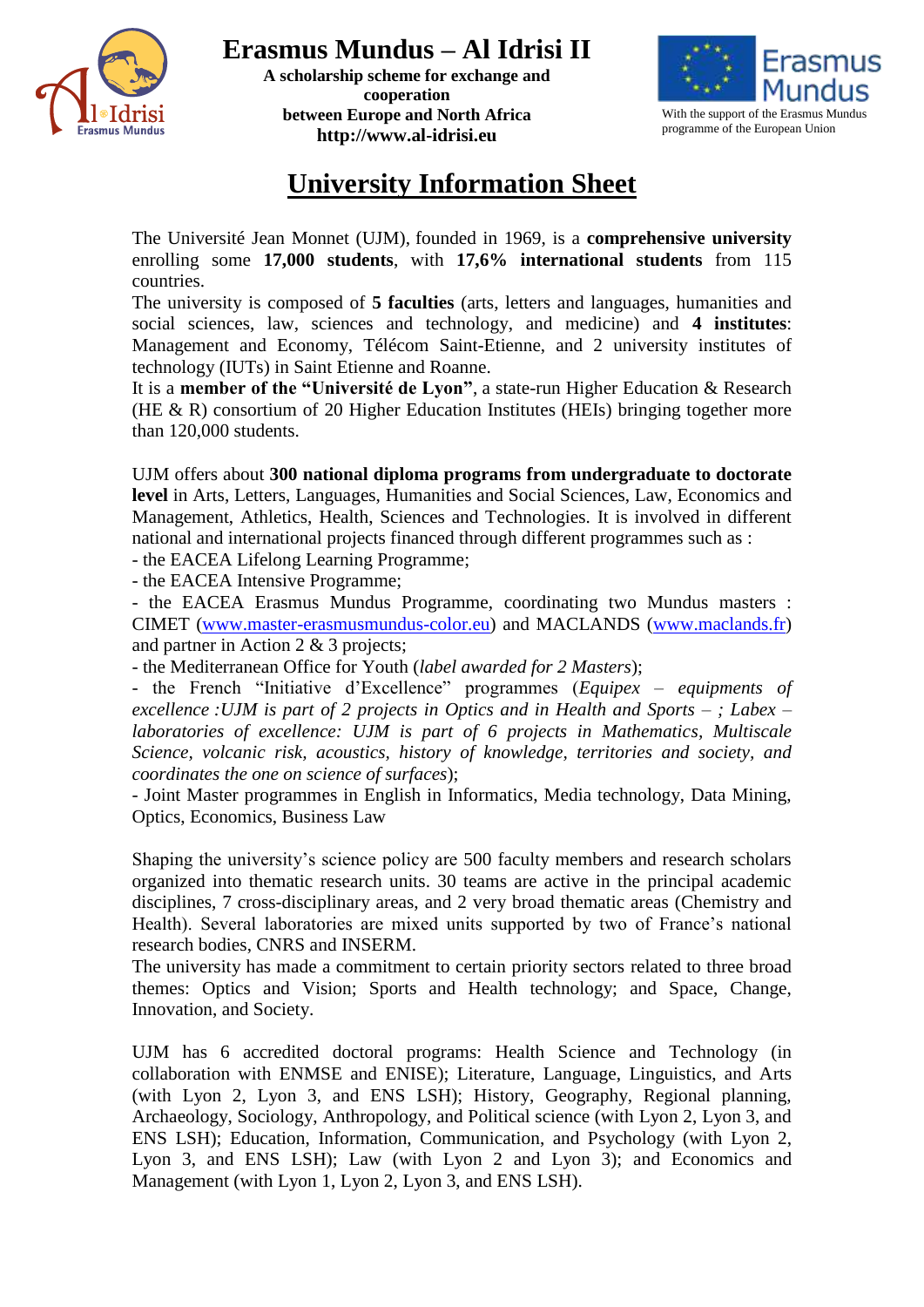

**A scholarship scheme for exchange and cooperation between Europe and North Africa http://www.al-idrisi.eu**



## **University Information Sheet**

The Université Jean Monnet (UJM), founded in 1969, is a **comprehensive university** enrolling some **17,000 students**, with **17,6% international students** from 115 countries.

The university is composed of **5 faculties** (arts, letters and languages, humanities and social sciences, law, sciences and technology, and medicine) and **4 institutes**: Management and Economy, Télécom Saint-Etienne, and 2 university institutes of technology (IUTs) in Saint Etienne and Roanne.

It is a **member of the "Université de Lyon"**, a state-run Higher Education & Research (HE & R) consortium of 20 Higher Education Institutes (HEIs) bringing together more than 120,000 students.

UJM offers about **300 national diploma programs from undergraduate to doctorate level** in Arts, Letters, Languages, Humanities and Social Sciences, Law, Economics and Management, Athletics, Health, Sciences and Technologies. It is involved in different national and international projects financed through different programmes such as :

- the EACEA Lifelong Learning Programme;

- the EACEA Intensive Programme;

- the EACEA Erasmus Mundus Programme, coordinating two Mundus masters : CIMET [\(www.master-erasmusmundus-color.eu\)](http://www.master-erasmusmundus-color.eu/) and MACLANDS [\(www.maclands.fr\)](http://www.maclands.fr/) and partner in Action 2 & 3 projects;

- the Mediterranean Office for Youth (*label awarded for 2 Masters*);

- the French "Initiative d'Excellence" programmes (*Equipex – equipments of excellence :UJM is part of 2 projects in Optics and in Health and Sports – ; Labex – laboratories of excellence: UJM is part of 6 projects in Mathematics, Multiscale Science, volcanic risk, acoustics, history of knowledge, territories and society, and coordinates the one on science of surfaces*);

- Joint Master programmes in English in Informatics, Media technology, Data Mining, Optics, Economics, Business Law

Shaping the university's science policy are 500 faculty members and research scholars organized into thematic research units. 30 teams are active in the principal academic disciplines, 7 cross-disciplinary areas, and 2 very broad thematic areas (Chemistry and Health). Several laboratories are mixed units supported by two of France's national research bodies, CNRS and INSERM.

The university has made a commitment to certain priority sectors related to three broad themes: Optics and Vision; Sports and Health technology; and Space, Change, Innovation, and Society.

UJM has 6 accredited doctoral programs: Health Science and Technology (in collaboration with ENMSE and ENISE); Literature, Language, Linguistics, and Arts (with Lyon 2, Lyon 3, and ENS LSH); History, Geography, Regional planning, Archaeology, Sociology, Anthropology, and Political science (with Lyon 2, Lyon 3, and ENS LSH); Education, Information, Communication, and Psychology (with Lyon 2, Lyon 3, and ENS LSH); Law (with Lyon 2 and Lyon 3); and Economics and Management (with Lyon 1, Lyon 2, Lyon 3, and ENS LSH).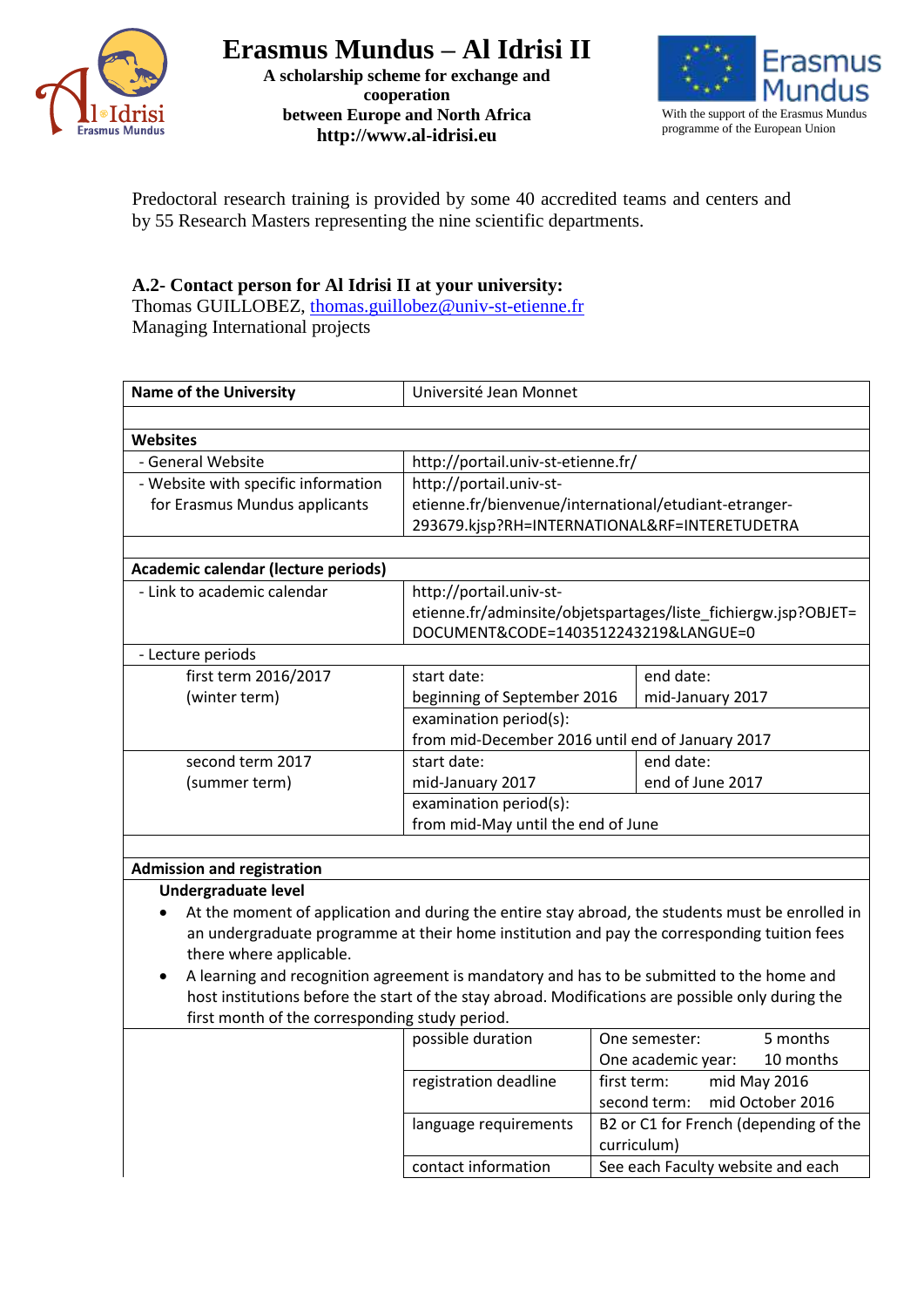

**A scholarship scheme for exchange and cooperation between Europe and North Africa http://www.al-idrisi.eu**



Predoctoral research training is provided by some 40 accredited teams and centers and by 55 Research Masters representing the nine scientific departments.

## **A.2- Contact person for Al Idrisi II at your university:**

Thomas GUILLOBEZ, [thomas.guillobez@univ-st-etienne.fr](mailto:thomas.guillobez@univ-st-etienne.fr) Managing International projects

| <b>Name of the University</b>                  | Université Jean Monnet                                         |                                                                                                   |  |  |
|------------------------------------------------|----------------------------------------------------------------|---------------------------------------------------------------------------------------------------|--|--|
|                                                |                                                                |                                                                                                   |  |  |
| <b>Websites</b>                                |                                                                |                                                                                                   |  |  |
| - General Website                              | http://portail.univ-st-etienne.fr/                             |                                                                                                   |  |  |
| - Website with specific information            | http://portail.univ-st-                                        |                                                                                                   |  |  |
| for Erasmus Mundus applicants                  | etienne.fr/bienvenue/international/etudiant-etranger-          |                                                                                                   |  |  |
|                                                |                                                                | 293679.kjsp?RH=INTERNATIONAL&RF=INTERETUDETRA                                                     |  |  |
|                                                |                                                                |                                                                                                   |  |  |
| Academic calendar (lecture periods)            |                                                                |                                                                                                   |  |  |
| - Link to academic calendar                    | http://portail.univ-st-                                        |                                                                                                   |  |  |
|                                                | etienne.fr/adminsite/objetspartages/liste_fichiergw.jsp?OBJET= |                                                                                                   |  |  |
|                                                | DOCUMENT&CODE=1403512243219&LANGUE=0                           |                                                                                                   |  |  |
| - Lecture periods                              |                                                                |                                                                                                   |  |  |
| first term 2016/2017                           | start date:                                                    | end date:                                                                                         |  |  |
| (winter term)                                  | beginning of September 2016                                    | mid-January 2017                                                                                  |  |  |
|                                                | examination period(s):                                         |                                                                                                   |  |  |
|                                                | from mid-December 2016 until end of January 2017               |                                                                                                   |  |  |
| second term 2017                               | start date:                                                    | end date:<br>end of June 2017                                                                     |  |  |
| (summer term)                                  | mid-January 2017                                               |                                                                                                   |  |  |
|                                                | examination period(s):<br>from mid-May until the end of June   |                                                                                                   |  |  |
|                                                |                                                                |                                                                                                   |  |  |
| <b>Admission and registration</b>              |                                                                |                                                                                                   |  |  |
| Undergraduate level                            |                                                                |                                                                                                   |  |  |
|                                                |                                                                | At the moment of application and during the entire stay abroad, the students must be enrolled in  |  |  |
|                                                |                                                                | an undergraduate programme at their home institution and pay the corresponding tuition fees       |  |  |
| there where applicable.                        |                                                                |                                                                                                   |  |  |
| ٠                                              |                                                                | A learning and recognition agreement is mandatory and has to be submitted to the home and         |  |  |
|                                                |                                                                | host institutions before the start of the stay abroad. Modifications are possible only during the |  |  |
| first month of the corresponding study period. |                                                                |                                                                                                   |  |  |
|                                                | possible duration                                              | 5 months<br>One semester:                                                                         |  |  |
|                                                |                                                                | 10 months<br>One academic year:                                                                   |  |  |
|                                                | registration deadline                                          | first term:<br>mid May 2016                                                                       |  |  |
|                                                |                                                                | second term:<br>mid October 2016                                                                  |  |  |
|                                                | language requirements                                          | B2 or C1 for French (depending of the                                                             |  |  |
|                                                |                                                                | curriculum)                                                                                       |  |  |
|                                                | contact information                                            | See each Faculty website and each                                                                 |  |  |
|                                                |                                                                |                                                                                                   |  |  |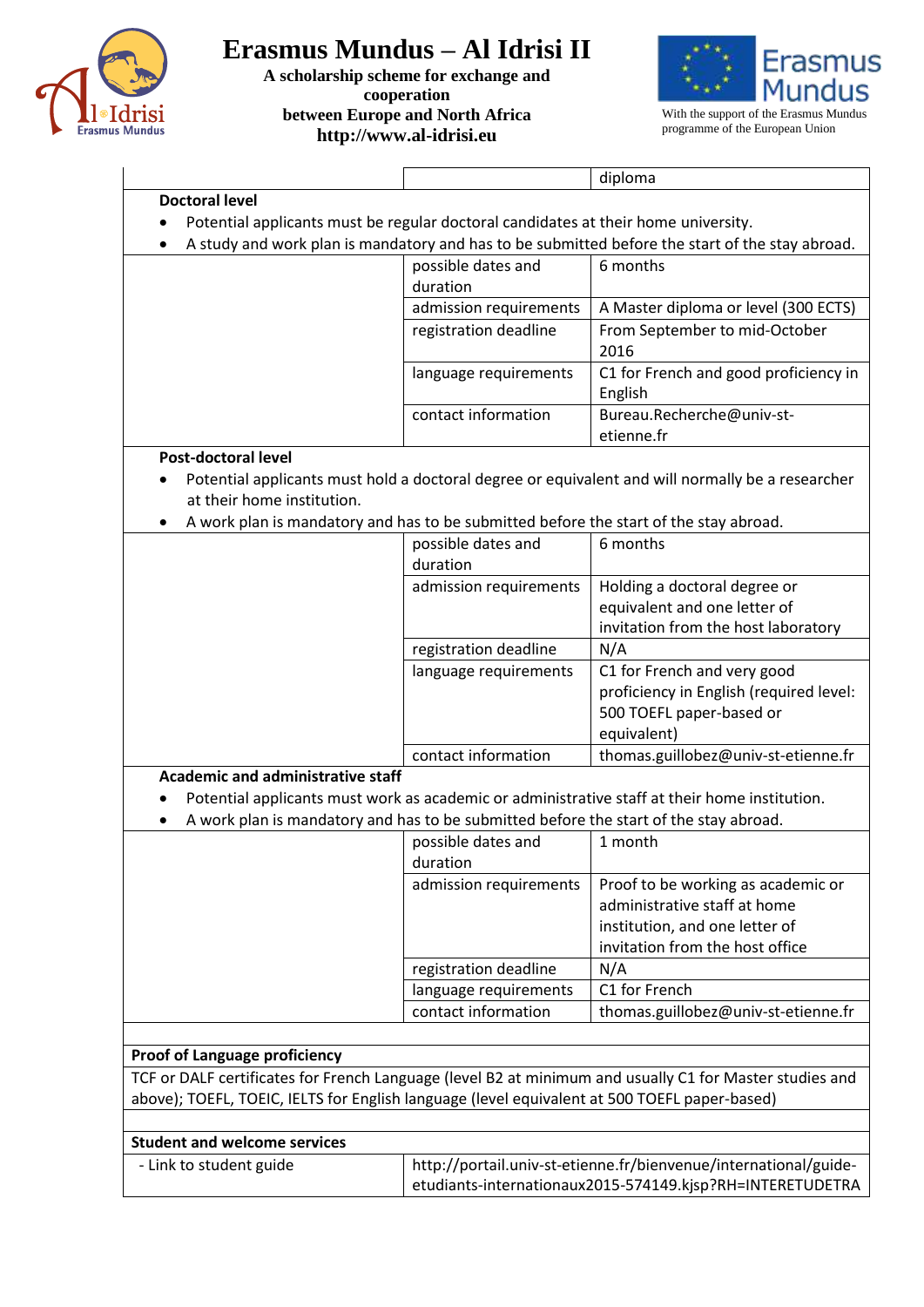

**A scholarship scheme for exchange and cooperation between Europe and North Africa http://www.al-idrisi.eu**



programme of the European Union

| <b>Doctoral level</b><br>Potential applicants must be regular doctoral candidates at their home university.<br>A study and work plan is mandatory and has to be submitted before the start of the stay abroad.<br>٠<br>possible dates and<br>6 months<br>duration<br>A Master diploma or level (300 ECTS)<br>admission requirements<br>From September to mid-October<br>registration deadline<br>2016<br>C1 for French and good proficiency in<br>language requirements<br>English<br>contact information<br>Bureau.Recherche@univ-st-<br>etienne.fr<br><b>Post-doctoral level</b><br>Potential applicants must hold a doctoral degree or equivalent and will normally be a researcher<br>at their home institution.<br>A work plan is mandatory and has to be submitted before the start of the stay abroad.<br>٠<br>possible dates and<br>6 months<br>duration<br>Holding a doctoral degree or<br>admission requirements<br>equivalent and one letter of<br>invitation from the host laboratory<br>registration deadline<br>N/A<br>C1 for French and very good<br>language requirements<br>proficiency in English (required level:<br>500 TOEFL paper-based or<br>equivalent)<br>contact information<br>thomas.guillobez@univ-st-etienne.fr<br><b>Academic and administrative staff</b><br>Potential applicants must work as academic or administrative staff at their home institution.<br>A work plan is mandatory and has to be submitted before the start of the stay abroad.<br>٠<br>possible dates and<br>1 month<br>duration<br>Proof to be working as academic or<br>admission requirements<br>administrative staff at home<br>institution, and one letter of<br>invitation from the host office<br>registration deadline<br>N/A<br>C1 for French<br>language requirements<br>contact information<br>thomas.guillobez@univ-st-etienne.fr<br><b>Proof of Language proficiency</b> |                                                                                                         |                                                                  | diploma |  |  |  |  |
|--------------------------------------------------------------------------------------------------------------------------------------------------------------------------------------------------------------------------------------------------------------------------------------------------------------------------------------------------------------------------------------------------------------------------------------------------------------------------------------------------------------------------------------------------------------------------------------------------------------------------------------------------------------------------------------------------------------------------------------------------------------------------------------------------------------------------------------------------------------------------------------------------------------------------------------------------------------------------------------------------------------------------------------------------------------------------------------------------------------------------------------------------------------------------------------------------------------------------------------------------------------------------------------------------------------------------------------------------------------------------------------------------------------------------------------------------------------------------------------------------------------------------------------------------------------------------------------------------------------------------------------------------------------------------------------------------------------------------------------------------------------------------------------------------------------------------------------------------------------------------------------------|---------------------------------------------------------------------------------------------------------|------------------------------------------------------------------|---------|--|--|--|--|
|                                                                                                                                                                                                                                                                                                                                                                                                                                                                                                                                                                                                                                                                                                                                                                                                                                                                                                                                                                                                                                                                                                                                                                                                                                                                                                                                                                                                                                                                                                                                                                                                                                                                                                                                                                                                                                                                                            |                                                                                                         |                                                                  |         |  |  |  |  |
|                                                                                                                                                                                                                                                                                                                                                                                                                                                                                                                                                                                                                                                                                                                                                                                                                                                                                                                                                                                                                                                                                                                                                                                                                                                                                                                                                                                                                                                                                                                                                                                                                                                                                                                                                                                                                                                                                            |                                                                                                         |                                                                  |         |  |  |  |  |
|                                                                                                                                                                                                                                                                                                                                                                                                                                                                                                                                                                                                                                                                                                                                                                                                                                                                                                                                                                                                                                                                                                                                                                                                                                                                                                                                                                                                                                                                                                                                                                                                                                                                                                                                                                                                                                                                                            |                                                                                                         |                                                                  |         |  |  |  |  |
|                                                                                                                                                                                                                                                                                                                                                                                                                                                                                                                                                                                                                                                                                                                                                                                                                                                                                                                                                                                                                                                                                                                                                                                                                                                                                                                                                                                                                                                                                                                                                                                                                                                                                                                                                                                                                                                                                            |                                                                                                         |                                                                  |         |  |  |  |  |
|                                                                                                                                                                                                                                                                                                                                                                                                                                                                                                                                                                                                                                                                                                                                                                                                                                                                                                                                                                                                                                                                                                                                                                                                                                                                                                                                                                                                                                                                                                                                                                                                                                                                                                                                                                                                                                                                                            |                                                                                                         |                                                                  |         |  |  |  |  |
|                                                                                                                                                                                                                                                                                                                                                                                                                                                                                                                                                                                                                                                                                                                                                                                                                                                                                                                                                                                                                                                                                                                                                                                                                                                                                                                                                                                                                                                                                                                                                                                                                                                                                                                                                                                                                                                                                            |                                                                                                         |                                                                  |         |  |  |  |  |
|                                                                                                                                                                                                                                                                                                                                                                                                                                                                                                                                                                                                                                                                                                                                                                                                                                                                                                                                                                                                                                                                                                                                                                                                                                                                                                                                                                                                                                                                                                                                                                                                                                                                                                                                                                                                                                                                                            |                                                                                                         |                                                                  |         |  |  |  |  |
|                                                                                                                                                                                                                                                                                                                                                                                                                                                                                                                                                                                                                                                                                                                                                                                                                                                                                                                                                                                                                                                                                                                                                                                                                                                                                                                                                                                                                                                                                                                                                                                                                                                                                                                                                                                                                                                                                            |                                                                                                         |                                                                  |         |  |  |  |  |
|                                                                                                                                                                                                                                                                                                                                                                                                                                                                                                                                                                                                                                                                                                                                                                                                                                                                                                                                                                                                                                                                                                                                                                                                                                                                                                                                                                                                                                                                                                                                                                                                                                                                                                                                                                                                                                                                                            |                                                                                                         |                                                                  |         |  |  |  |  |
|                                                                                                                                                                                                                                                                                                                                                                                                                                                                                                                                                                                                                                                                                                                                                                                                                                                                                                                                                                                                                                                                                                                                                                                                                                                                                                                                                                                                                                                                                                                                                                                                                                                                                                                                                                                                                                                                                            |                                                                                                         |                                                                  |         |  |  |  |  |
|                                                                                                                                                                                                                                                                                                                                                                                                                                                                                                                                                                                                                                                                                                                                                                                                                                                                                                                                                                                                                                                                                                                                                                                                                                                                                                                                                                                                                                                                                                                                                                                                                                                                                                                                                                                                                                                                                            |                                                                                                         |                                                                  |         |  |  |  |  |
|                                                                                                                                                                                                                                                                                                                                                                                                                                                                                                                                                                                                                                                                                                                                                                                                                                                                                                                                                                                                                                                                                                                                                                                                                                                                                                                                                                                                                                                                                                                                                                                                                                                                                                                                                                                                                                                                                            |                                                                                                         |                                                                  |         |  |  |  |  |
|                                                                                                                                                                                                                                                                                                                                                                                                                                                                                                                                                                                                                                                                                                                                                                                                                                                                                                                                                                                                                                                                                                                                                                                                                                                                                                                                                                                                                                                                                                                                                                                                                                                                                                                                                                                                                                                                                            |                                                                                                         |                                                                  |         |  |  |  |  |
|                                                                                                                                                                                                                                                                                                                                                                                                                                                                                                                                                                                                                                                                                                                                                                                                                                                                                                                                                                                                                                                                                                                                                                                                                                                                                                                                                                                                                                                                                                                                                                                                                                                                                                                                                                                                                                                                                            |                                                                                                         |                                                                  |         |  |  |  |  |
|                                                                                                                                                                                                                                                                                                                                                                                                                                                                                                                                                                                                                                                                                                                                                                                                                                                                                                                                                                                                                                                                                                                                                                                                                                                                                                                                                                                                                                                                                                                                                                                                                                                                                                                                                                                                                                                                                            |                                                                                                         |                                                                  |         |  |  |  |  |
|                                                                                                                                                                                                                                                                                                                                                                                                                                                                                                                                                                                                                                                                                                                                                                                                                                                                                                                                                                                                                                                                                                                                                                                                                                                                                                                                                                                                                                                                                                                                                                                                                                                                                                                                                                                                                                                                                            |                                                                                                         |                                                                  |         |  |  |  |  |
|                                                                                                                                                                                                                                                                                                                                                                                                                                                                                                                                                                                                                                                                                                                                                                                                                                                                                                                                                                                                                                                                                                                                                                                                                                                                                                                                                                                                                                                                                                                                                                                                                                                                                                                                                                                                                                                                                            |                                                                                                         |                                                                  |         |  |  |  |  |
|                                                                                                                                                                                                                                                                                                                                                                                                                                                                                                                                                                                                                                                                                                                                                                                                                                                                                                                                                                                                                                                                                                                                                                                                                                                                                                                                                                                                                                                                                                                                                                                                                                                                                                                                                                                                                                                                                            |                                                                                                         |                                                                  |         |  |  |  |  |
|                                                                                                                                                                                                                                                                                                                                                                                                                                                                                                                                                                                                                                                                                                                                                                                                                                                                                                                                                                                                                                                                                                                                                                                                                                                                                                                                                                                                                                                                                                                                                                                                                                                                                                                                                                                                                                                                                            |                                                                                                         |                                                                  |         |  |  |  |  |
|                                                                                                                                                                                                                                                                                                                                                                                                                                                                                                                                                                                                                                                                                                                                                                                                                                                                                                                                                                                                                                                                                                                                                                                                                                                                                                                                                                                                                                                                                                                                                                                                                                                                                                                                                                                                                                                                                            |                                                                                                         |                                                                  |         |  |  |  |  |
|                                                                                                                                                                                                                                                                                                                                                                                                                                                                                                                                                                                                                                                                                                                                                                                                                                                                                                                                                                                                                                                                                                                                                                                                                                                                                                                                                                                                                                                                                                                                                                                                                                                                                                                                                                                                                                                                                            |                                                                                                         |                                                                  |         |  |  |  |  |
|                                                                                                                                                                                                                                                                                                                                                                                                                                                                                                                                                                                                                                                                                                                                                                                                                                                                                                                                                                                                                                                                                                                                                                                                                                                                                                                                                                                                                                                                                                                                                                                                                                                                                                                                                                                                                                                                                            |                                                                                                         |                                                                  |         |  |  |  |  |
|                                                                                                                                                                                                                                                                                                                                                                                                                                                                                                                                                                                                                                                                                                                                                                                                                                                                                                                                                                                                                                                                                                                                                                                                                                                                                                                                                                                                                                                                                                                                                                                                                                                                                                                                                                                                                                                                                            |                                                                                                         |                                                                  |         |  |  |  |  |
|                                                                                                                                                                                                                                                                                                                                                                                                                                                                                                                                                                                                                                                                                                                                                                                                                                                                                                                                                                                                                                                                                                                                                                                                                                                                                                                                                                                                                                                                                                                                                                                                                                                                                                                                                                                                                                                                                            |                                                                                                         |                                                                  |         |  |  |  |  |
|                                                                                                                                                                                                                                                                                                                                                                                                                                                                                                                                                                                                                                                                                                                                                                                                                                                                                                                                                                                                                                                                                                                                                                                                                                                                                                                                                                                                                                                                                                                                                                                                                                                                                                                                                                                                                                                                                            |                                                                                                         |                                                                  |         |  |  |  |  |
|                                                                                                                                                                                                                                                                                                                                                                                                                                                                                                                                                                                                                                                                                                                                                                                                                                                                                                                                                                                                                                                                                                                                                                                                                                                                                                                                                                                                                                                                                                                                                                                                                                                                                                                                                                                                                                                                                            |                                                                                                         |                                                                  |         |  |  |  |  |
|                                                                                                                                                                                                                                                                                                                                                                                                                                                                                                                                                                                                                                                                                                                                                                                                                                                                                                                                                                                                                                                                                                                                                                                                                                                                                                                                                                                                                                                                                                                                                                                                                                                                                                                                                                                                                                                                                            |                                                                                                         |                                                                  |         |  |  |  |  |
|                                                                                                                                                                                                                                                                                                                                                                                                                                                                                                                                                                                                                                                                                                                                                                                                                                                                                                                                                                                                                                                                                                                                                                                                                                                                                                                                                                                                                                                                                                                                                                                                                                                                                                                                                                                                                                                                                            |                                                                                                         |                                                                  |         |  |  |  |  |
|                                                                                                                                                                                                                                                                                                                                                                                                                                                                                                                                                                                                                                                                                                                                                                                                                                                                                                                                                                                                                                                                                                                                                                                                                                                                                                                                                                                                                                                                                                                                                                                                                                                                                                                                                                                                                                                                                            |                                                                                                         |                                                                  |         |  |  |  |  |
|                                                                                                                                                                                                                                                                                                                                                                                                                                                                                                                                                                                                                                                                                                                                                                                                                                                                                                                                                                                                                                                                                                                                                                                                                                                                                                                                                                                                                                                                                                                                                                                                                                                                                                                                                                                                                                                                                            |                                                                                                         |                                                                  |         |  |  |  |  |
|                                                                                                                                                                                                                                                                                                                                                                                                                                                                                                                                                                                                                                                                                                                                                                                                                                                                                                                                                                                                                                                                                                                                                                                                                                                                                                                                                                                                                                                                                                                                                                                                                                                                                                                                                                                                                                                                                            |                                                                                                         |                                                                  |         |  |  |  |  |
|                                                                                                                                                                                                                                                                                                                                                                                                                                                                                                                                                                                                                                                                                                                                                                                                                                                                                                                                                                                                                                                                                                                                                                                                                                                                                                                                                                                                                                                                                                                                                                                                                                                                                                                                                                                                                                                                                            |                                                                                                         |                                                                  |         |  |  |  |  |
|                                                                                                                                                                                                                                                                                                                                                                                                                                                                                                                                                                                                                                                                                                                                                                                                                                                                                                                                                                                                                                                                                                                                                                                                                                                                                                                                                                                                                                                                                                                                                                                                                                                                                                                                                                                                                                                                                            |                                                                                                         |                                                                  |         |  |  |  |  |
|                                                                                                                                                                                                                                                                                                                                                                                                                                                                                                                                                                                                                                                                                                                                                                                                                                                                                                                                                                                                                                                                                                                                                                                                                                                                                                                                                                                                                                                                                                                                                                                                                                                                                                                                                                                                                                                                                            |                                                                                                         |                                                                  |         |  |  |  |  |
|                                                                                                                                                                                                                                                                                                                                                                                                                                                                                                                                                                                                                                                                                                                                                                                                                                                                                                                                                                                                                                                                                                                                                                                                                                                                                                                                                                                                                                                                                                                                                                                                                                                                                                                                                                                                                                                                                            |                                                                                                         |                                                                  |         |  |  |  |  |
|                                                                                                                                                                                                                                                                                                                                                                                                                                                                                                                                                                                                                                                                                                                                                                                                                                                                                                                                                                                                                                                                                                                                                                                                                                                                                                                                                                                                                                                                                                                                                                                                                                                                                                                                                                                                                                                                                            |                                                                                                         |                                                                  |         |  |  |  |  |
|                                                                                                                                                                                                                                                                                                                                                                                                                                                                                                                                                                                                                                                                                                                                                                                                                                                                                                                                                                                                                                                                                                                                                                                                                                                                                                                                                                                                                                                                                                                                                                                                                                                                                                                                                                                                                                                                                            |                                                                                                         |                                                                  |         |  |  |  |  |
|                                                                                                                                                                                                                                                                                                                                                                                                                                                                                                                                                                                                                                                                                                                                                                                                                                                                                                                                                                                                                                                                                                                                                                                                                                                                                                                                                                                                                                                                                                                                                                                                                                                                                                                                                                                                                                                                                            |                                                                                                         |                                                                  |         |  |  |  |  |
|                                                                                                                                                                                                                                                                                                                                                                                                                                                                                                                                                                                                                                                                                                                                                                                                                                                                                                                                                                                                                                                                                                                                                                                                                                                                                                                                                                                                                                                                                                                                                                                                                                                                                                                                                                                                                                                                                            |                                                                                                         |                                                                  |         |  |  |  |  |
|                                                                                                                                                                                                                                                                                                                                                                                                                                                                                                                                                                                                                                                                                                                                                                                                                                                                                                                                                                                                                                                                                                                                                                                                                                                                                                                                                                                                                                                                                                                                                                                                                                                                                                                                                                                                                                                                                            |                                                                                                         |                                                                  |         |  |  |  |  |
|                                                                                                                                                                                                                                                                                                                                                                                                                                                                                                                                                                                                                                                                                                                                                                                                                                                                                                                                                                                                                                                                                                                                                                                                                                                                                                                                                                                                                                                                                                                                                                                                                                                                                                                                                                                                                                                                                            | TCF or DALF certificates for French Language (level B2 at minimum and usually C1 for Master studies and |                                                                  |         |  |  |  |  |
| above); TOEFL, TOEIC, IELTS for English language (level equivalent at 500 TOEFL paper-based)                                                                                                                                                                                                                                                                                                                                                                                                                                                                                                                                                                                                                                                                                                                                                                                                                                                                                                                                                                                                                                                                                                                                                                                                                                                                                                                                                                                                                                                                                                                                                                                                                                                                                                                                                                                               |                                                                                                         |                                                                  |         |  |  |  |  |
|                                                                                                                                                                                                                                                                                                                                                                                                                                                                                                                                                                                                                                                                                                                                                                                                                                                                                                                                                                                                                                                                                                                                                                                                                                                                                                                                                                                                                                                                                                                                                                                                                                                                                                                                                                                                                                                                                            |                                                                                                         |                                                                  |         |  |  |  |  |
| <b>Student and welcome services</b>                                                                                                                                                                                                                                                                                                                                                                                                                                                                                                                                                                                                                                                                                                                                                                                                                                                                                                                                                                                                                                                                                                                                                                                                                                                                                                                                                                                                                                                                                                                                                                                                                                                                                                                                                                                                                                                        |                                                                                                         |                                                                  |         |  |  |  |  |
| - Link to student guide                                                                                                                                                                                                                                                                                                                                                                                                                                                                                                                                                                                                                                                                                                                                                                                                                                                                                                                                                                                                                                                                                                                                                                                                                                                                                                                                                                                                                                                                                                                                                                                                                                                                                                                                                                                                                                                                    |                                                                                                         | http://portail.univ-st-etienne.fr/bienvenue/international/guide- |         |  |  |  |  |
|                                                                                                                                                                                                                                                                                                                                                                                                                                                                                                                                                                                                                                                                                                                                                                                                                                                                                                                                                                                                                                                                                                                                                                                                                                                                                                                                                                                                                                                                                                                                                                                                                                                                                                                                                                                                                                                                                            |                                                                                                         | etudiants-internationaux2015-574149.kjsp?RH=INTERETUDETRA        |         |  |  |  |  |